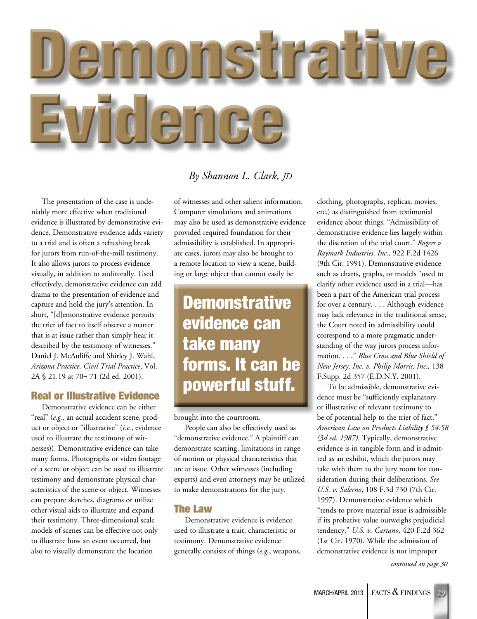

#### *By Shannon L. Clark, JD*

The presentation of the case is undeniably more effective when traditional evidence is illustrated by demonstrative evidence. Demonstrative evidence adds variety to a trial and is often a refreshing break for jurors from run-of-the-mill testimony. It also allows jurors to process evidence visually, in addition to auditorally. Used effectively, demonstrative evidence can add drama to the presentation of evidence and capture and hold the jury's attention. In short, "[d]emonstrative evidence permits the trier of fact to itself observe a matter that is at issue rather than simply hear it described by the testimony of witnesses." Daniel J. McAuliffe and Shirley J. Wahl, *Arizona Practice, Civil Trial Practice*, Vol. 2A § 21.19 at 70¬ 71 (2d ed. 2001).

#### Real or Illustrative Evidence

Demonstrative evidence can be either "real" (*e.g.*, an actual accident scene, product or object or "illustrative" (*i.e.*, evidence used to illustrate the testimony of witnesses)). Demonstrative evidence can take many forms. Photographs or video footage of a scene or object can be used to illustrate testimony and demonstrate physical characteristics of the scene or object. Witnesses can prepare sketches, diagrams or utilize other visual aids to illustrate and expand their testimony. Three-dimensional scale models of scenes can be effective not only to illustrate how an event occurred, but also to visually demonstrate the location

of witnesses and other salient information. Computer simulations and animations may also be used as demonstrative evidence provided required foundation for their admissibility is established. In appropriate cases, jurors may also be brought to a remote location to view a scene, building or large object that cannot easily be

## **Demonstrative** evidence can take many forms. It can be powerful stuff.

brought into the courtroom.

People can also be effectively used as "demonstrative evidence." A plaintiff can demonstrate scarring, limitations in range of motion or physical characteristics that are at issue. Other witnesses (including experts) and even attorneys may be utilized to make demonstrations for the jury.

#### The Law

Demonstrative evidence is evidence used to illustrate a trait, characteristic or testimony. Demonstrative evidence generally consists of things (*e.g.*, weapons, clothing, photographs, replicas, movies, etc.) as distinguished from testimonial evidence about things. "Admissibility of demonstrative evidence lies largely within the discretion of the trial court." *Rogers v Raymark Industries, Inc.*, 922 F.2d 1426 (9th Cir. 1991). Demonstrative evidence such as charts, graphs, or models "used to clarify other evidence used in a trial—has been a part of the American trial process for over a century. . . . Although evidence may lack relevance in the traditional sense, the Court noted its admissibility could correspond to a more pragmatic understanding of the way jurors process information. . . ." *Blue Cross and Blue Shield of New Jersey, Inc. v. Philip Morris, Inc.,* 138 F.Supp. 2d 357 (E.D.N.Y. 2001).

To be admissible, demonstrative evidence must be "sufficiently explanatory or illustrative of relevant testimony to be of potential help to the trier of fact." *American Law on Products Liability § 54:58 (3d ed. 1987)*. Typically, demonstrative evidence is in tangible form and is admitted as an exhibit, which the jurors may take with them to the jury room for consideration during their deliberations. *See U.S. v. Salerno*, 108 F.3d 730 (7th Cir. 1997). Demonstrative evidence which "tends to prove material issue is admissible if its probative value outweighs prejudicial tendency." *U.S. v. Cartano*, 420 F.2d 362 (1st Cir. 1970). While the admission of demonstrative evidence is not improper

*continued on page 30*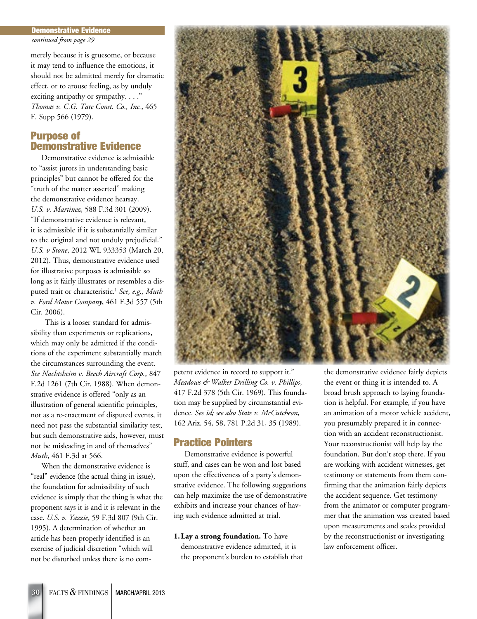#### Demonstrative Evidence

*continued from page 29*

merely because it is gruesome, or because it may tend to influence the emotions, it should not be admitted merely for dramatic effect, or to arouse feeling, as by unduly exciting antipathy or sympathy. . . ." *Thomas v. C.G. Tate Const. Co., Inc.*, 465 F. Supp 566 (1979).

#### Purpose of Demonstrative Evidence

Demonstrative evidence is admissible to "assist jurors in understanding basic principles" but cannot be offered for the "truth of the matter asserted" making the demonstrative evidence hearsay. *U.S. v. Martinez*, 588 F.3d 301 (2009). "If demonstrative evidence is relevant, it is admissible if it is substantially similar to the original and not unduly prejudicial." *U.S. v Stone*, 2012 WL 933353 (March 20, 2012). Thus, demonstrative evidence used for illustrative purposes is admissible so long as it fairly illustrates or resembles a disputed trait or characteristic.<sup>1</sup> See, e.g., Muth *v. Ford Motor Company*, 461 F.3d 557 (5th Cir. 2006).

This is a looser standard for admissibility than experiments or replications, which may only be admitted if the conditions of the experiment substantially match the circumstances surrounding the event. *See Nachtsheim v. Beech Aircraft Corp.*, 847 F.2d 1261 (7th Cir. 1988). When demonstrative evidence is offered "only as an illustration of general scientific principles, not as a re-enactment of disputed events, it need not pass the substantial similarity test, but such demonstrative aids, however, must not be misleading in and of themselves" *Muth*, 461 F.3d at 566.

When the demonstrative evidence is "real" evidence (the actual thing in issue), the foundation for admissibility of such evidence is simply that the thing is what the proponent says it is and it is relevant in the case. *U.S. v. Yazzie*, 59 F.3d 807 (9th Cir. 1995). A determination of whether an article has been properly identified is an exercise of judicial discretion "which will not be disturbed unless there is no com-



petent evidence in record to support it." *Meadows & Walker Drilling Co. v. Phillips*, 417 F.2d 378 (5th Cir. 1969). This foundation may be supplied by circumstantial evidence. *See id; see also State v. McCutcheon*, 162 Ariz. 54, 58, 781 P.2d 31, 35 (1989).

#### Practice Pointers

Demonstrative evidence is powerful stuff, and cases can be won and lost based upon the effectiveness of a party's demonstrative evidence. The following suggestions can help maximize the use of demonstrative exhibits and increase your chances of having such evidence admitted at trial.

**1. Lay a strong foundation.** To have demonstrative evidence admitted, it is the proponent's burden to establish that the demonstrative evidence fairly depicts the event or thing it is intended to. A broad brush approach to laying foundation is helpful. For example, if you have an animation of a motor vehicle accident, you presumably prepared it in connection with an accident reconstructionist. Your reconstructionist will help lay the foundation. But don't stop there. If you are working with accident witnesses, get testimony or statements from them confirming that the animation fairly depicts the accident sequence. Get testimony from the animator or computer programmer that the animation was created based upon measurements and scales provided by the reconstructionist or investigating law enforcement officer.